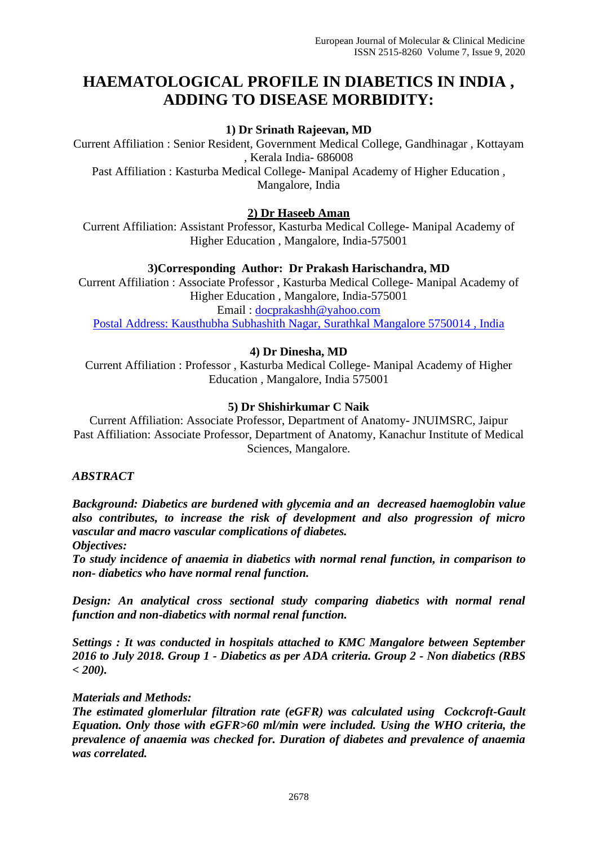# **HAEMATOLOGICAL PROFILE IN DIABETICS IN INDIA , ADDING TO DISEASE MORBIDITY:**

# **1) Dr Srinath Rajeevan, MD**

Current Affiliation : Senior Resident, Government Medical College, Gandhinagar , Kottayam , Kerala India- 686008

Past Affiliation : Kasturba Medical College- Manipal Academy of Higher Education , Mangalore, India

## **2) Dr Haseeb Aman**

Current Affiliation: Assistant Professor, Kasturba Medical College- Manipal Academy of Higher Education , Mangalore, India-575001

## **3)Corresponding Author: Dr Prakash Harischandra, MD**

Current Affiliation : Associate Professor , Kasturba Medical College- Manipal Academy of Higher Education , Mangalore, India-575001 Email : [docprakashh@yahoo.com](mailto:docprakashh@yahoo.com) Postal Address: Kausthubha Subhashith Nagar, Surathkal Mangalore 5750014 , India

## **4) Dr Dinesha, MD**

Current Affiliation : Professor , Kasturba Medical College- Manipal Academy of Higher Education , Mangalore, India 575001

#### **5) Dr Shishirkumar C Naik**

Current Affiliation: Associate Professor, Department of Anatomy- JNUIMSRC, Jaipur Past Affiliation: Associate Professor, Department of Anatomy, Kanachur Institute of Medical Sciences, Mangalore.

#### *ABSTRACT*

*Background: Diabetics are burdened with glycemia and an decreased haemoglobin value also contributes, to increase the risk of development and also progression of micro vascular and macro vascular complications of diabetes.* 

*Objectives:*

*To study incidence of anaemia in diabetics with normal renal function, in comparison to non- diabetics who have normal renal function.*

*Design: An analytical cross sectional study comparing diabetics with normal renal function and non-diabetics with normal renal function.*

*Settings : It was conducted in hospitals attached to KMC Mangalore between September 2016 to July 2018. Group 1 - Diabetics as per ADA criteria. Group 2 - Non diabetics (RBS < 200).*

#### *Materials and Methods:*

*The estimated glomerlular filtration rate (eGFR) was calculated using Cockcroft-Gault Equation. Only those with eGFR>60 ml/min were included. Using the WHO criteria, the prevalence of anaemia was checked for. Duration of diabetes and prevalence of anaemia was correlated.*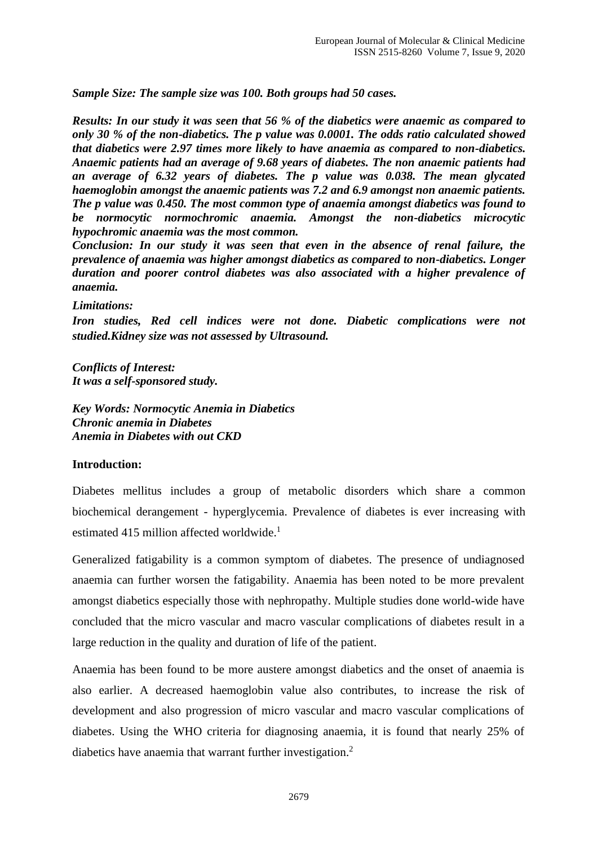*Sample Size: The sample size was 100. Both groups had 50 cases.*

*Results: In our study it was seen that 56 % of the diabetics were anaemic as compared to only 30 % of the non-diabetics. The p value was 0.0001. The odds ratio calculated showed that diabetics were 2.97 times more likely to have anaemia as compared to non-diabetics. Anaemic patients had an average of 9.68 years of diabetes. The non anaemic patients had an average of 6.32 years of diabetes. The p value was 0.038. The mean glycated haemoglobin amongst the anaemic patients was 7.2 and 6.9 amongst non anaemic patients. The p value was 0.450. The most common type of anaemia amongst diabetics was found to be normocytic normochromic anaemia. Amongst the non-diabetics microcytic hypochromic anaemia was the most common.* 

*Conclusion: In our study it was seen that even in the absence of renal failure, the prevalence of anaemia was higher amongst diabetics as compared to non-diabetics. Longer duration and poorer control diabetes was also associated with a higher prevalence of anaemia.* 

#### *Limitations:*

*Iron studies, Red cell indices were not done. Diabetic complications were not studied.Kidney size was not assessed by Ultrasound.*

*Conflicts of Interest: It was a self-sponsored study.*

*Key Words: Normocytic Anemia in Diabetics Chronic anemia in Diabetes Anemia in Diabetes with out CKD*

#### **Introduction:**

Diabetes mellitus includes a group of metabolic disorders which share a common biochemical derangement - hyperglycemia. Prevalence of diabetes is ever increasing with estimated 415 million affected worldwide.<sup>1</sup>

Generalized fatigability is a common symptom of diabetes. The presence of undiagnosed anaemia can further worsen the fatigability. Anaemia has been noted to be more prevalent amongst diabetics especially those with nephropathy. Multiple studies done world-wide have concluded that the micro vascular and macro vascular complications of diabetes result in a large reduction in the quality and duration of life of the patient.

Anaemia has been found to be more austere amongst diabetics and the onset of anaemia is also earlier. A decreased haemoglobin value also contributes, to increase the risk of development and also progression of micro vascular and macro vascular complications of diabetes. Using the WHO criteria for diagnosing anaemia, it is found that nearly 25% of diabetics have anaemia that warrant further investigation.<sup>2</sup>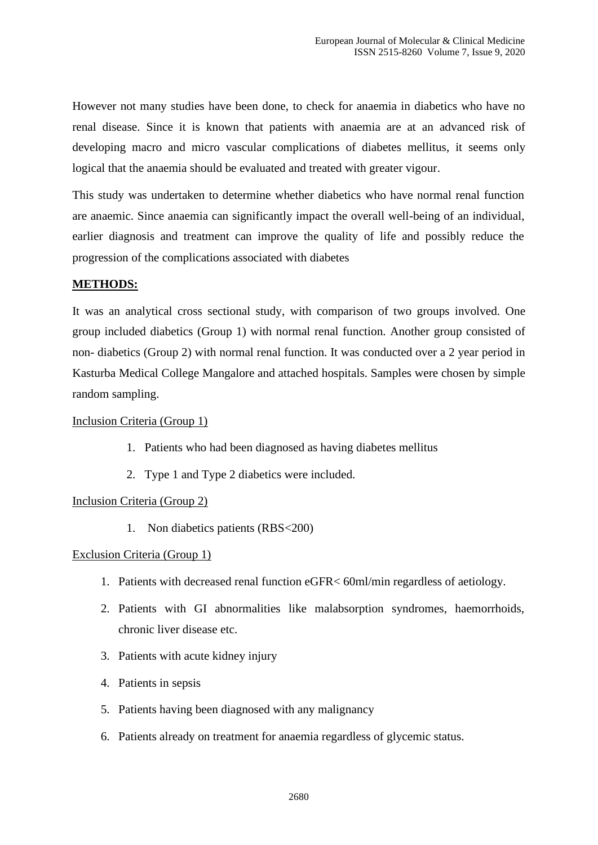However not many studies have been done, to check for anaemia in diabetics who have no renal disease. Since it is known that patients with anaemia are at an advanced risk of developing macro and micro vascular complications of diabetes mellitus, it seems only logical that the anaemia should be evaluated and treated with greater vigour.

This study was undertaken to determine whether diabetics who have normal renal function are anaemic. Since anaemia can significantly impact the overall well-being of an individual, earlier diagnosis and treatment can improve the quality of life and possibly reduce the progression of the complications associated with diabetes

#### **METHODS:**

It was an analytical cross sectional study, with comparison of two groups involved. One group included diabetics (Group 1) with normal renal function. Another group consisted of non- diabetics (Group 2) with normal renal function. It was conducted over a 2 year period in Kasturba Medical College Mangalore and attached hospitals. Samples were chosen by simple random sampling.

#### Inclusion Criteria (Group 1)

- 1. Patients who had been diagnosed as having diabetes mellitus
- 2. Type 1 and Type 2 diabetics were included.

#### Inclusion Criteria (Group 2)

1. Non diabetics patients (RBS<200)

#### Exclusion Criteria (Group 1)

- 1. Patients with decreased renal function eGFR< 60ml/min regardless of aetiology.
- 2. Patients with GI abnormalities like malabsorption syndromes, haemorrhoids, chronic liver disease etc.
- 3. Patients with acute kidney injury
- 4. Patients in sepsis
- 5. Patients having been diagnosed with any malignancy
- 6. Patients already on treatment for anaemia regardless of glycemic status.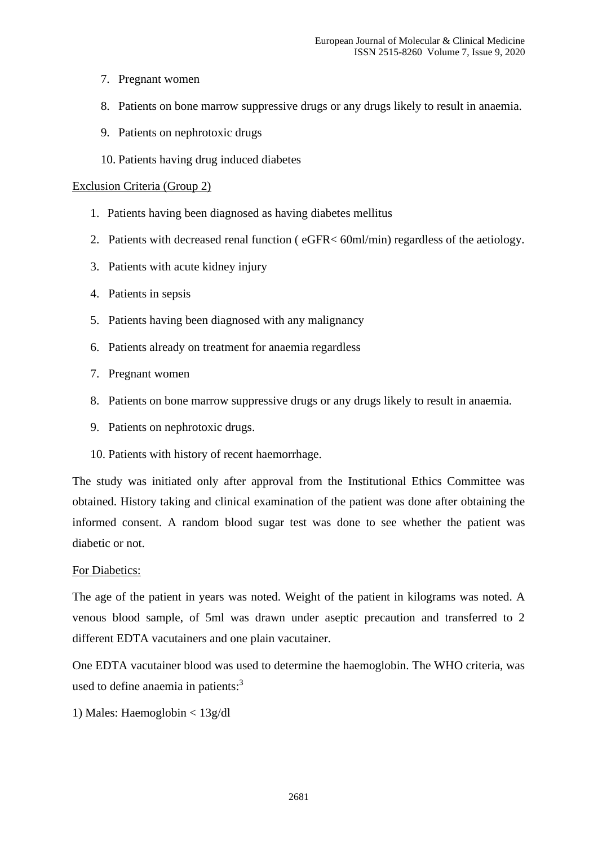- 7. Pregnant women
- 8. Patients on bone marrow suppressive drugs or any drugs likely to result in anaemia.
- 9. Patients on nephrotoxic drugs
- 10. Patients having drug induced diabetes

#### Exclusion Criteria (Group 2)

- 1. Patients having been diagnosed as having diabetes mellitus
- 2. Patients with decreased renal function ( eGFR< 60ml/min) regardless of the aetiology.
- 3. Patients with acute kidney injury
- 4. Patients in sepsis
- 5. Patients having been diagnosed with any malignancy
- 6. Patients already on treatment for anaemia regardless
- 7. Pregnant women
- 8. Patients on bone marrow suppressive drugs or any drugs likely to result in anaemia.
- 9. Patients on nephrotoxic drugs.
- 10. Patients with history of recent haemorrhage.

The study was initiated only after approval from the Institutional Ethics Committee was obtained. History taking and clinical examination of the patient was done after obtaining the informed consent. A random blood sugar test was done to see whether the patient was diabetic or not.

#### For Diabetics:

The age of the patient in years was noted. Weight of the patient in kilograms was noted. A venous blood sample, of 5ml was drawn under aseptic precaution and transferred to 2 different EDTA vacutainers and one plain vacutainer.

One EDTA vacutainer blood was used to determine the haemoglobin. The WHO criteria, was used to define anaemia in patients: $3$ 

1) Males: Haemoglobin < 13g/dl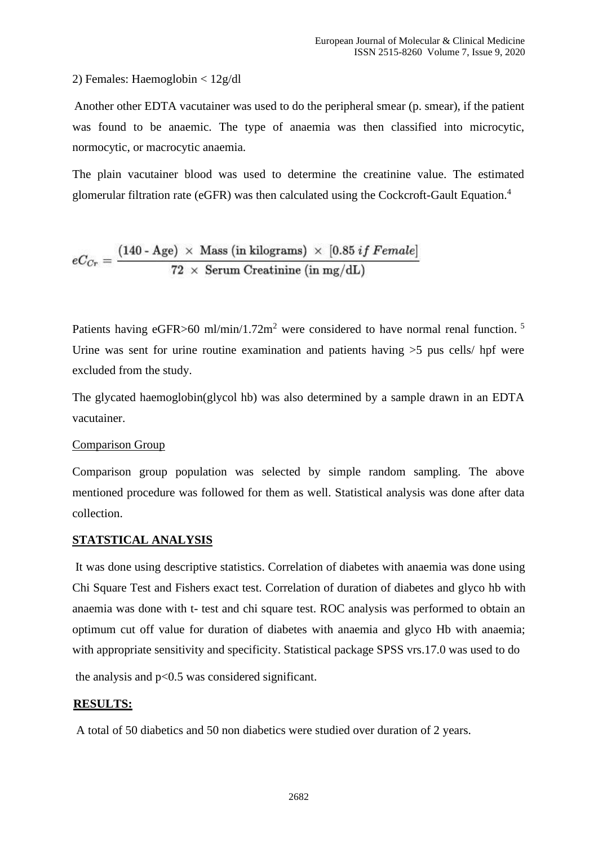#### 2) Females: Haemoglobin < 12g/dl

Another other EDTA vacutainer was used to do the peripheral smear (p. smear), if the patient was found to be anaemic. The type of anaemia was then classified into microcytic, normocytic, or macrocytic anaemia.

The plain vacutainer blood was used to determine the creatinine value. The estimated glomerular filtration rate (eGFR) was then calculated using the Cockcroft-Gault Equation.<sup>4</sup>

$$
eC_{Cr} = \frac{(140 - \text{Age}) \times \text{Mass (in kilograms)} \times [0.85 \text{ if Female}]}{72 \times \text{Serum Creative (in mg/dL)}}
$$

Patients having eGFR>60 ml/min/1.72m<sup>2</sup> were considered to have normal renal function.<sup>5</sup> Urine was sent for urine routine examination and patients having  $>5$  pus cells/ hpf were excluded from the study.

The glycated haemoglobin(glycol hb) was also determined by a sample drawn in an EDTA vacutainer.

#### Comparison Group

Comparison group population was selected by simple random sampling. The above mentioned procedure was followed for them as well. Statistical analysis was done after data collection.

#### **STATSTICAL ANALYSIS**

It was done using descriptive statistics. Correlation of diabetes with anaemia was done using Chi Square Test and Fishers exact test. Correlation of duration of diabetes and glyco hb with anaemia was done with t- test and chi square test. ROC analysis was performed to obtain an optimum cut off value for duration of diabetes with anaemia and glyco Hb with anaemia; with appropriate sensitivity and specificity. Statistical package SPSS vrs.17.0 was used to do

the analysis and p<0.5 was considered significant.

## **RESULTS:**

A total of 50 diabetics and 50 non diabetics were studied over duration of 2 years.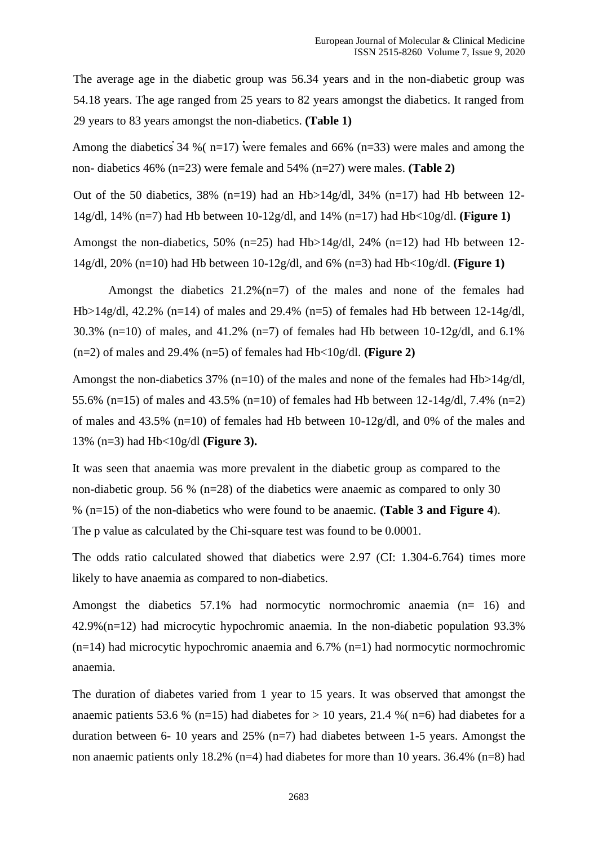The average age in the diabetic group was 56.34 years and in the non-diabetic group was 54.18 years. The age ranged from 25 years to 82 years amongst the diabetics. It ranged from 29 years to 83 years amongst the non-diabetics. **(Table 1)**

Among the diabetics 34 % ( $n=17$ ) were females and 66% ( $n=33$ ) were males and among the non- diabetics 46% (n=23) were female and 54% (n=27) were males. **(Table 2)**

Out of the 50 diabetics, 38% (n=19) had an Hb>14g/dl, 34% (n=17) had Hb between 12-14g/dl, 14% (n=7) had Hb between 10-12g/dl, and 14% (n=17) had Hb<10g/dl. **(Figure 1)**

Amongst the non-diabetics, 50% (n=25) had Hb>14g/dl, 24% (n=12) had Hb between 12- 14g/dl, 20% (n=10) had Hb between 10-12g/dl, and 6% (n=3) had Hb<10g/dl. **(Figure 1)**

Amongst the diabetics  $21.2\%$  (n=7) of the males and none of the females had Hb>14g/dl, 42.2% (n=14) of males and 29.4% (n=5) of females had Hb between 12-14g/dl, 30.3% (n=10) of males, and 41.2% (n=7) of females had Hb between 10-12g/dl, and 6.1% (n=2) of males and 29.4% (n=5) of females had Hb<10g/dl. **(Figure 2)**

Amongst the non-diabetics 37% (n=10) of the males and none of the females had Hb>14g/dl, 55.6% (n=15) of males and 43.5% (n=10) of females had Hb between 12-14g/dl, 7.4% (n=2) of males and 43.5% (n=10) of females had Hb between 10-12g/dl, and 0% of the males and 13% (n=3) had Hb<10g/dl **(Figure 3).**

It was seen that anaemia was more prevalent in the diabetic group as compared to the non-diabetic group. 56 % (n=28) of the diabetics were anaemic as compared to only 30 % (n=15) of the non-diabetics who were found to be anaemic. **(Table 3 and Figure 4**). The p value as calculated by the Chi-square test was found to be 0.0001.

The odds ratio calculated showed that diabetics were 2.97 (CI: 1.304-6.764) times more likely to have anaemia as compared to non-diabetics.

Amongst the diabetics 57.1% had normocytic normochromic anaemia (n= 16) and 42.9%(n=12) had microcytic hypochromic anaemia. In the non-diabetic population 93.3%  $(n=14)$  had microcytic hypochromic anaemia and 6.7%  $(n=1)$  had normocytic normochromic anaemia.

The duration of diabetes varied from 1 year to 15 years. It was observed that amongst the anaemic patients 53.6 % (n=15) had diabetes for  $> 10$  years, 21.4 % (n=6) had diabetes for a duration between 6- 10 years and  $25\%$  (n=7) had diabetes between 1-5 years. Amongst the non anaemic patients only 18.2% (n=4) had diabetes for more than 10 years. 36.4% (n=8) had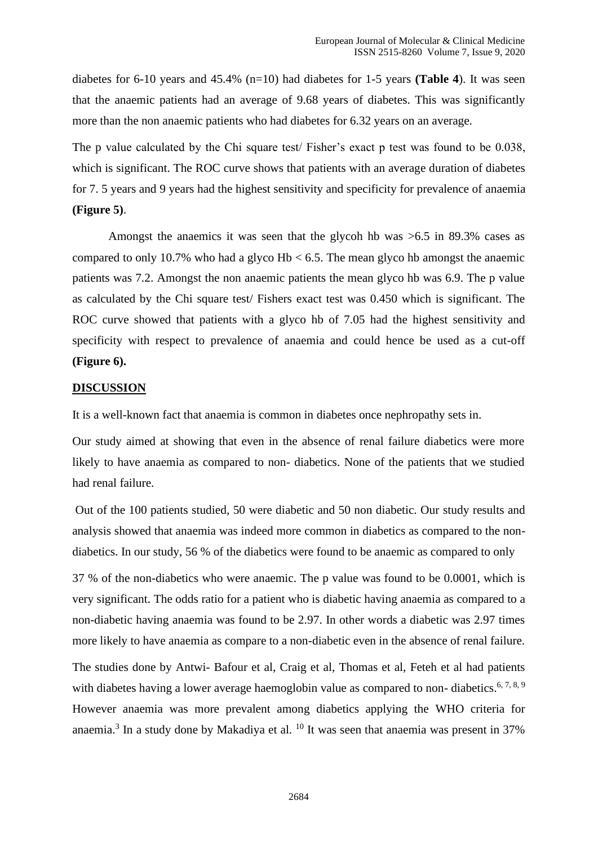diabetes for 6-10 years and 45.4% (n=10) had diabetes for 1-5 years **(Table 4**). It was seen that the anaemic patients had an average of 9.68 years of diabetes. This was significantly more than the non anaemic patients who had diabetes for 6.32 years on an average.

The p value calculated by the Chi square test/ Fisher's exact p test was found to be 0.038, which is significant. The ROC curve shows that patients with an average duration of diabetes for 7. 5 years and 9 years had the highest sensitivity and specificity for prevalence of anaemia **(Figure 5)**.

Amongst the anaemics it was seen that the glycoh hb was >6.5 in 89.3% cases as compared to only 10.7% who had a glyco  $Hb < 6.5$ . The mean glyco hb amongst the anaemic patients was 7.2. Amongst the non anaemic patients the mean glyco hb was 6.9. The p value as calculated by the Chi square test/ Fishers exact test was 0.450 which is significant. The ROC curve showed that patients with a glyco hb of 7.05 had the highest sensitivity and specificity with respect to prevalence of anaemia and could hence be used as a cut-off **(Figure 6).**

#### **DISCUSSION**

It is a well-known fact that anaemia is common in diabetes once nephropathy sets in.

Our study aimed at showing that even in the absence of renal failure diabetics were more likely to have anaemia as compared to non- diabetics. None of the patients that we studied had renal failure.

Out of the 100 patients studied, 50 were diabetic and 50 non diabetic. Our study results and analysis showed that anaemia was indeed more common in diabetics as compared to the nondiabetics. In our study, 56 % of the diabetics were found to be anaemic as compared to only

37 % of the non-diabetics who were anaemic. The p value was found to be 0.0001, which is very significant. The odds ratio for a patient who is diabetic having anaemia as compared to a non-diabetic having anaemia was found to be 2.97. In other words a diabetic was 2.97 times more likely to have anaemia as compare to a non-diabetic even in the absence of renal failure.

The studies done by Antwi- Bafour et al, Craig et al, Thomas et al, Feteh et al had patients with diabetes having a lower average haemoglobin value as compared to non-diabetics.<sup>6, 7, 8, 9</sup> However anaemia was more prevalent among diabetics applying the WHO criteria for anaemia.<sup>3</sup> In a study done by Makadiya et al. <sup>10</sup> It was seen that anaemia was present in 37%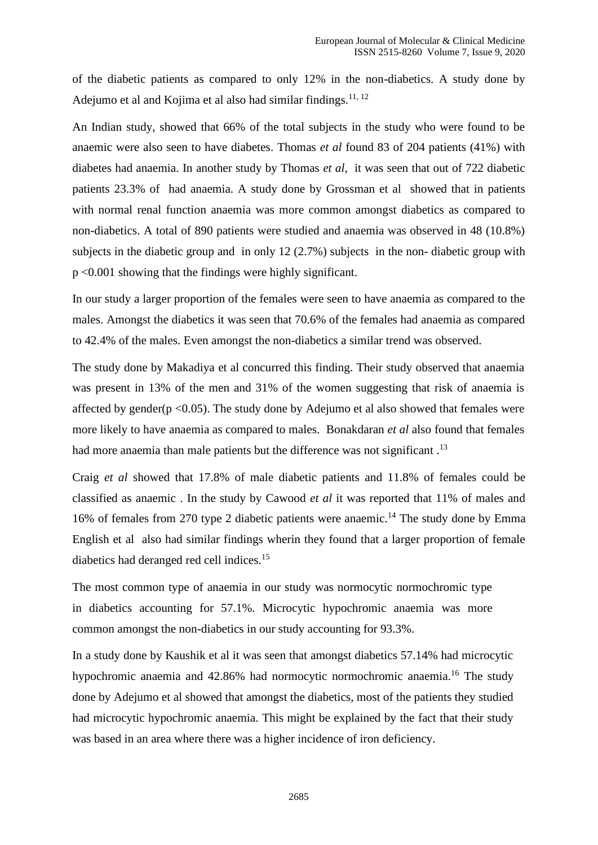of the diabetic patients as compared to only 12% in the non-diabetics. A study done by Adejumo et al and Kojima et al also had similar findings.<sup>11, 12</sup>

An Indian study, showed that 66% of the total subjects in the study who were found to be anaemic were also seen to have diabetes. Thomas *et al* found 83 of 204 patients (41%) with diabetes had anaemia. In another study by Thomas *et al*, it was seen that out of 722 diabetic patients 23.3% of had anaemia. A study done by Grossman et al showed that in patients with normal renal function anaemia was more common amongst diabetics as compared to non-diabetics. A total of 890 patients were studied and anaemia was observed in 48 (10.8%) subjects in the diabetic group and in only 12 (2.7%) subjects in the non- diabetic group with p <0.001 showing that the findings were highly significant.

In our study a larger proportion of the females were seen to have anaemia as compared to the males. Amongst the diabetics it was seen that 70.6% of the females had anaemia as compared to 42.4% of the males. Even amongst the non-diabetics a similar trend was observed.

The study done by Makadiya et al concurred this finding. Their study observed that anaemia was present in 13% of the men and 31% of the women suggesting that risk of anaemia is affected by gender( $p \le 0.05$ ). The study done by Adejumo et al also showed that females were more likely to have anaemia as compared to males. Bonakdaran *et al* also found that females had more anaemia than male patients but the difference was not significant.<sup>13</sup>

Craig *et al* showed that 17.8% of male diabetic patients and 11.8% of females could be classified as anaemic . In the study by Cawood *et al* it was reported that 11% of males and 16% of females from 270 type 2 diabetic patients were anaemic.<sup>14</sup> The study done by Emma English et al also had similar findings wherin they found that a larger proportion of female diabetics had deranged red cell indices.<sup>15</sup>

The most common type of anaemia in our study was normocytic normochromic type in diabetics accounting for 57.1%. Microcytic hypochromic anaemia was more common amongst the non-diabetics in our study accounting for 93.3%.

In a study done by Kaushik et al it was seen that amongst diabetics 57.14% had microcytic hypochromic anaemia and 42.86% had normocytic normochromic anaemia.<sup>16</sup> The study done by Adejumo et al showed that amongst the diabetics, most of the patients they studied had microcytic hypochromic anaemia. This might be explained by the fact that their study was based in an area where there was a higher incidence of iron deficiency.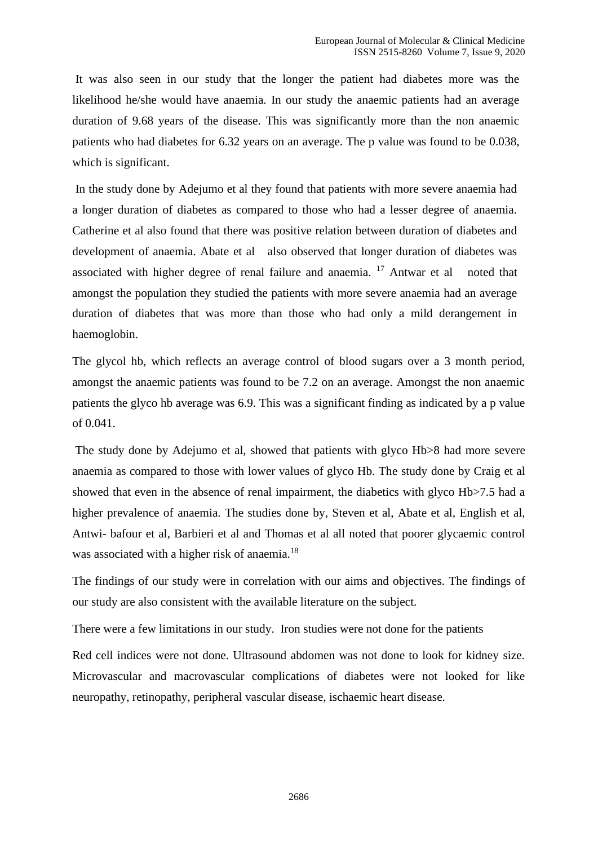It was also seen in our study that the longer the patient had diabetes more was the likelihood he/she would have anaemia. In our study the anaemic patients had an average duration of 9.68 years of the disease. This was significantly more than the non anaemic patients who had diabetes for 6.32 years on an average. The p value was found to be 0.038, which is significant.

In the study done by Adejumo et al they found that patients with more severe anaemia had a longer duration of diabetes as compared to those who had a lesser degree of anaemia. Catherine et al also found that there was positive relation between duration of diabetes and development of anaemia. Abate et al also observed that longer duration of diabetes was associated with higher degree of renal failure and anaemia. <sup>17</sup> Antwar et al noted that amongst the population they studied the patients with more severe anaemia had an average duration of diabetes that was more than those who had only a mild derangement in haemoglobin.

The glycol hb, which reflects an average control of blood sugars over a 3 month period, amongst the anaemic patients was found to be 7.2 on an average. Amongst the non anaemic patients the glyco hb average was 6.9. This was a significant finding as indicated by a p value of 0.041.

The study done by Adejumo et al, showed that patients with glyco Hb>8 had more severe anaemia as compared to those with lower values of glyco Hb. The study done by Craig et al showed that even in the absence of renal impairment, the diabetics with glyco Hb $>7.5$  had a higher prevalence of anaemia. The studies done by, Steven et al, Abate et al, English et al, Antwi- bafour et al, Barbieri et al and Thomas et al all noted that poorer glycaemic control was associated with a higher risk of anaemia.<sup>18</sup>

The findings of our study were in correlation with our aims and objectives. The findings of our study are also consistent with the available literature on the subject.

There were a few limitations in our study. Iron studies were not done for the patients

Red cell indices were not done. Ultrasound abdomen was not done to look for kidney size. Microvascular and macrovascular complications of diabetes were not looked for like neuropathy, retinopathy, peripheral vascular disease, ischaemic heart disease.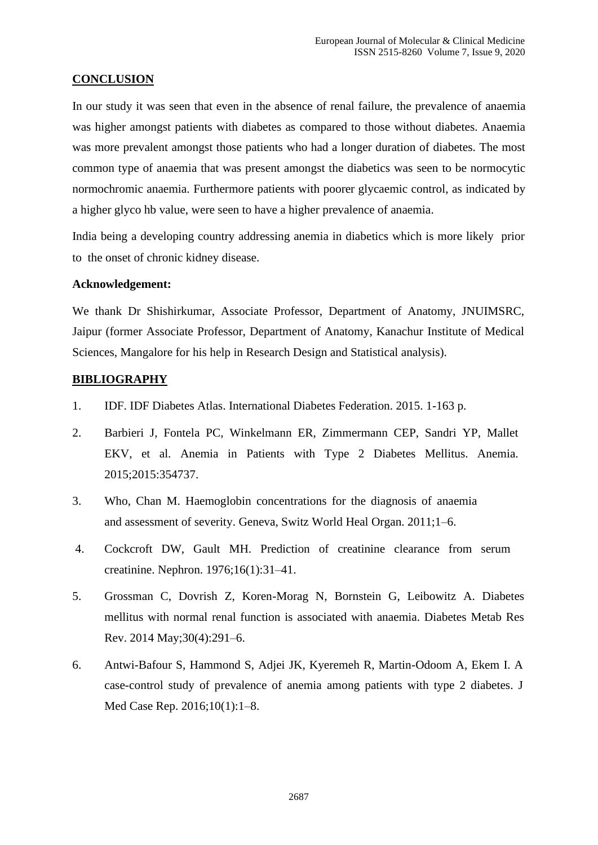### **CONCLUSION**

In our study it was seen that even in the absence of renal failure, the prevalence of anaemia was higher amongst patients with diabetes as compared to those without diabetes. Anaemia was more prevalent amongst those patients who had a longer duration of diabetes. The most common type of anaemia that was present amongst the diabetics was seen to be normocytic normochromic anaemia. Furthermore patients with poorer glycaemic control, as indicated by a higher glyco hb value, were seen to have a higher prevalence of anaemia.

India being a developing country addressing anemia in diabetics which is more likely prior to the onset of chronic kidney disease.

#### **Acknowledgement:**

We thank Dr Shishirkumar, Associate Professor, Department of Anatomy, JNUIMSRC, Jaipur (former Associate Professor, Department of Anatomy, Kanachur Institute of Medical Sciences, Mangalore for his help in Research Design and Statistical analysis).

#### **BIBLIOGRAPHY**

- 1. IDF. IDF Diabetes Atlas. International Diabetes Federation. 2015. 1-163 p.
- 2. Barbieri J, Fontela PC, Winkelmann ER, Zimmermann CEP, Sandri YP, Mallet EKV, et al. Anemia in Patients with Type 2 Diabetes Mellitus. Anemia. 2015;2015:354737.
- 3. Who, Chan M. Haemoglobin concentrations for the diagnosis of anaemia and assessment of severity. Geneva, Switz World Heal Organ. 2011;1–6.
- 4. Cockcroft DW, Gault MH. Prediction of creatinine clearance from serum creatinine. Nephron. 1976;16(1):31–41.
- 5. Grossman C, Dovrish Z, Koren-Morag N, Bornstein G, Leibowitz A. Diabetes mellitus with normal renal function is associated with anaemia. Diabetes Metab Res Rev. 2014 May;30(4):291–6.
- 6. Antwi-Bafour S, Hammond S, Adjei JK, Kyeremeh R, Martin-Odoom A, Ekem I. A case-control study of prevalence of anemia among patients with type 2 diabetes. J Med Case Rep. 2016;10(1):1–8.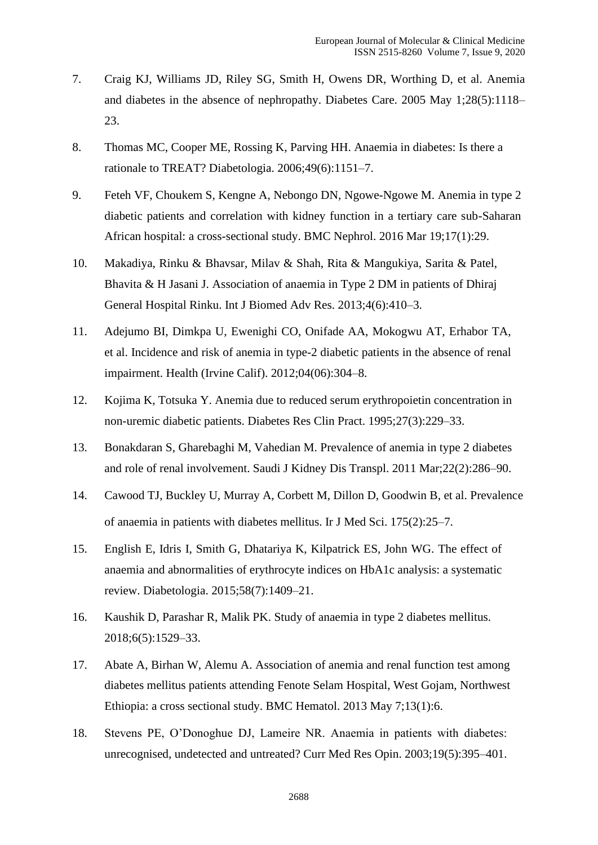- 7. Craig KJ, Williams JD, Riley SG, Smith H, Owens DR, Worthing D, et al. Anemia and diabetes in the absence of nephropathy. Diabetes Care. 2005 May 1;28(5):1118– 23.
- 8. Thomas MC, Cooper ME, Rossing K, Parving HH. Anaemia in diabetes: Is there a rationale to TREAT? Diabetologia. 2006;49(6):1151–7.
- 9. Feteh VF, Choukem S, Kengne A, Nebongo DN, Ngowe-Ngowe M. Anemia in type 2 diabetic patients and correlation with kidney function in a tertiary care sub-Saharan African hospital: a cross-sectional study. BMC Nephrol. 2016 Mar 19;17(1):29.
- 10. Makadiya, Rinku & Bhavsar, Milav & Shah, Rita & Mangukiya, Sarita & Patel, Bhavita & H Jasani J. Association of anaemia in Type 2 DM in patients of Dhiraj General Hospital Rinku. Int J Biomed Adv Res. 2013;4(6):410–3.
- 11. Adejumo BI, Dimkpa U, Ewenighi CO, Onifade AA, Mokogwu AT, Erhabor TA, et al. Incidence and risk of anemia in type-2 diabetic patients in the absence of renal impairment. Health (Irvine Calif). 2012;04(06):304–8.
- 12. Kojima K, Totsuka Y. Anemia due to reduced serum erythropoietin concentration in non-uremic diabetic patients. Diabetes Res Clin Pract. 1995;27(3):229–33.
- 13. Bonakdaran S, Gharebaghi M, Vahedian M. Prevalence of anemia in type 2 diabetes and role of renal involvement. Saudi J Kidney Dis Transpl. 2011 Mar;22(2):286–90.
- 14. Cawood TJ, Buckley U, Murray A, Corbett M, Dillon D, Goodwin B, et al. Prevalence of anaemia in patients with diabetes mellitus. Ir J Med Sci. 175(2):25–7.
- 15. English E, Idris I, Smith G, Dhatariya K, Kilpatrick ES, John WG. The effect of anaemia and abnormalities of erythrocyte indices on HbA1c analysis: a systematic review. Diabetologia. 2015;58(7):1409–21.
- 16. Kaushik D, Parashar R, Malik PK. Study of anaemia in type 2 diabetes mellitus. 2018;6(5):1529–33.
- 17. Abate A, Birhan W, Alemu A. Association of anemia and renal function test among diabetes mellitus patients attending Fenote Selam Hospital, West Gojam, Northwest Ethiopia: a cross sectional study. BMC Hematol. 2013 May 7;13(1):6.
- 18. Stevens PE, O'Donoghue DJ, Lameire NR. Anaemia in patients with diabetes: unrecognised, undetected and untreated? Curr Med Res Opin. 2003;19(5):395–401.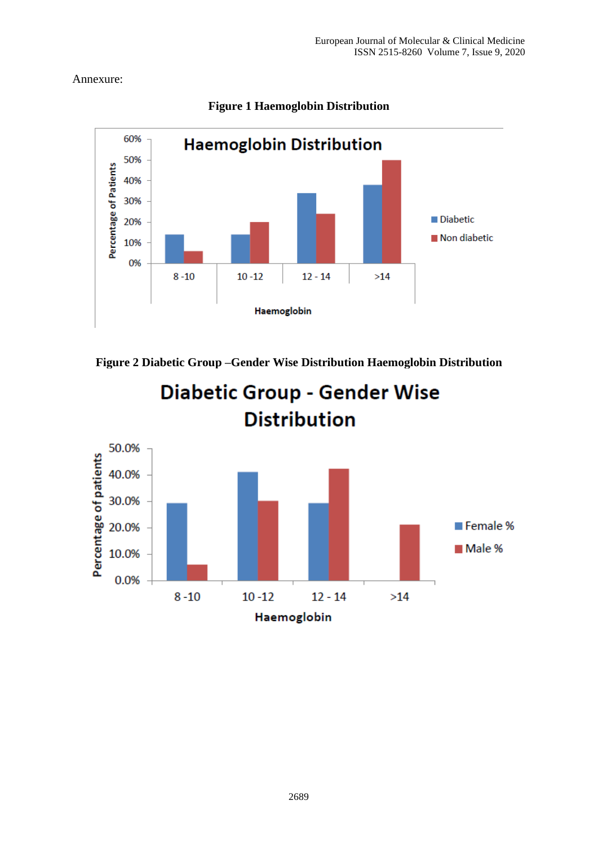# Annexure:



# **Figure 1 Haemoglobin Distribution**



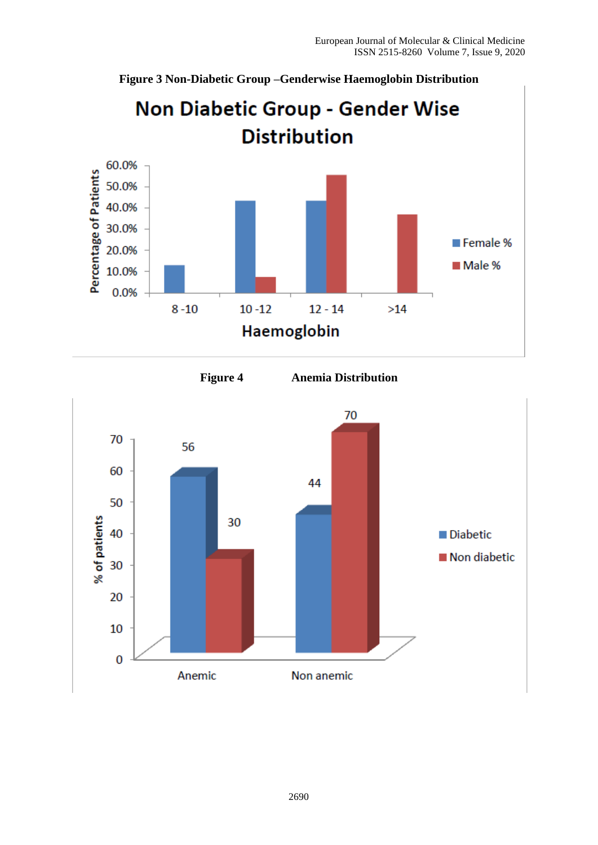**Figure 3 Non-Diabetic Group –Genderwise Haemoglobin Distribution**







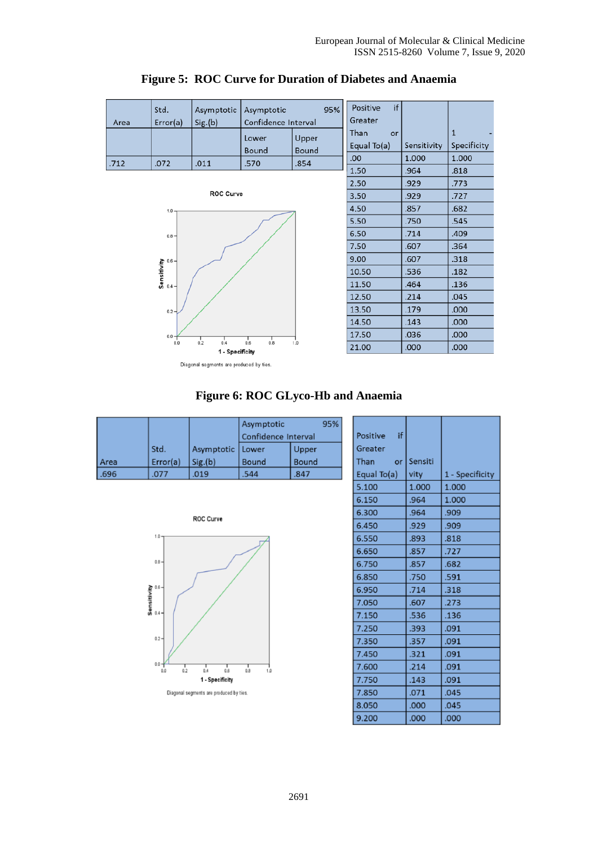

#### **Figure 5: ROC Curve for Duration of Diabetes and Anaemia**

#### **Figure 6: ROC GLyco-Hb and Anaemia**

|       |          |            | Asymptotic          | 95%   |  |
|-------|----------|------------|---------------------|-------|--|
|       |          |            | Confidence Interval |       |  |
|       | Std.     | Asymptotic | Lower               | Upper |  |
| Area  | Error(a) | Sig.(b)    | Bound               | Bound |  |
| 1.696 | .077     | .019       | .544                | .847  |  |



| Positive if |         |                 |
|-------------|---------|-----------------|
| Greater     |         |                 |
| Than<br>or  | Sensiti |                 |
| Equal To(a) | vity    | 1 - Specificity |
| 5.100       | 1.000   | 1.000           |
| 6.150       | .964    | 1.000           |
| 6.300       | .964    | .909            |
| 6,450       | .929    | .909            |
| 6.550       | .893    | .818            |
| 6.650       | .857    | .727            |
| 6.750       | .857    | .682            |
| 6.850       | .750    | .591            |
| 6.950       | .714    | .318            |
| 7.050       | .607    | .273            |
| 7.150       | .536    | .136            |
| 7.250       | .393    | .091            |
| 7.350       | .357    | .091            |
| 7.450       | .321    | .091            |
| 7.600       | .214    | .091            |
| 7.750       | .143    | .091            |
| 7.850       | .071    | .045            |
| 8.050       | .000    | .045            |
| 9.200       | .000    | .000            |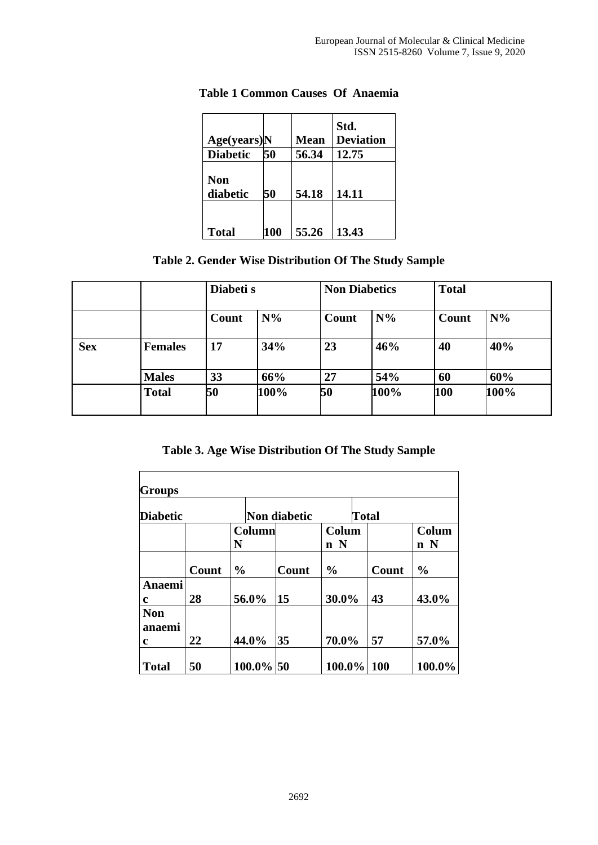| Age(years)N     |     | <b>Mean</b> | Std.<br><b>Deviation</b> |
|-----------------|-----|-------------|--------------------------|
| <b>Diabetic</b> | 50  | 56.34       | 12.75                    |
| Non<br>diabetic | 50  | 54.18       | 14.11                    |
| <b>Total</b>    | 100 | 55.26       | 13.43                    |

#### **Table 1 Common Causes Of Anaemia**

# **Table 2. Gender Wise Distribution Of The Study Sample**

|            |                |       | Diabeti s |       | <b>Non Diabetics</b> |       | <b>Total</b> |  |
|------------|----------------|-------|-----------|-------|----------------------|-------|--------------|--|
|            |                | Count | $N\%$     | Count | $N\%$                | Count | $N\%$        |  |
| <b>Sex</b> | <b>Females</b> | 17    | 34%       | 23    | 46%                  | 40    | 40%          |  |
|            | <b>Males</b>   | 33    | 66%       | 27    | 54%                  | 60    | 60%          |  |
|            | <b>Total</b>   | 50    | 100%      | 50    | 100%                 | 100   | 100%         |  |

**Table 3. Age Wise Distribution Of The Study Sample**

| <b>Groups</b>             |       |               |              |              |               |  |       |               |  |
|---------------------------|-------|---------------|--------------|--------------|---------------|--|-------|---------------|--|
| <b>Diabetic</b>           |       |               | Non diabetic |              |               |  | Total |               |  |
| N                         |       |               | Column       |              | Colum<br>n N  |  |       | Colum<br>n N  |  |
|                           | Count | $\frac{0}{0}$ |              | <b>Count</b> | $\frac{0}{0}$ |  | Count | $\frac{0}{0}$ |  |
| Anaemi<br>$\mathbf c$     | 28    |               | 56.0%        | 15           | 30.0%         |  | 43    | 43.0%         |  |
| <b>Non</b><br>anaemi<br>c | 22    |               | 44.0%        | 35           | 70.0%         |  | 57    | 57.0%         |  |
| <b>Total</b>              | 50    |               | 100.0% 50    |              | 100.0%        |  | 100   | 100.0%        |  |